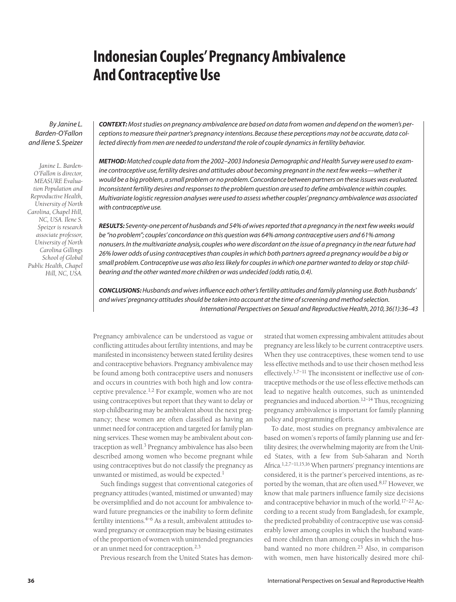# **Indonesian Couples'Pregnancy Ambivalence And Contraceptive Use**

*By Janine L. Barden-O'Fallon and Ilene S. Speizer*

*Janine L. Barden-O'Fallon is director, MEASURE Evaluation Population and Reproductive Health, University of North Carolina, Chapel Hill, NC, USA. Ilene S. Speizer is research associate professor, University of North Carolina Gillings School of Global Public Health, Chapel Hill, NC, USA.*

*CONTEXT:Most studies on pregnancy ambivalence are based on data from women and depend on the women's perceptions to measure their partner's pregnancy intentions. Because these perceptions may not be accurate, data collected directly from men are needed to understand the role of couple dynamics in fertility behavior.*

*METHOD:Matched couple data from the 2002–2003 Indonesia Demographic and Health Survey were used to examine contraceptive use, fertility desires and attitudes about becoming pregnant in the next few weeks—whether it would be a big problem, a small problem or no problem.Concordance between partners on these issues was evaluated. Inconsistent fertility desires and responses to the problem question are used to define ambivalence within couples. Multivariate logistic regression analyses were used to assess whether couples' pregnancy ambivalence was associated with contraceptive use.*

*RESULTS: Seventy-one percent of husbands and 54% of wives reported that a pregnancy in the next few weeks would be "no problem"; couples' concordance on this question was 64% among contraceptive users and 61% among nonusers. In the multivariate analysis, couples who were discordant on the issue of a pregnancy in the near future had 26% lower odds of using contraceptives than couples in which both partners agreed a pregnancy would be a big or small problem. Contraceptive use was also less likely for couples in which one partner wanted to delay or stop childbearing and the other wanted more children or was undecided (odds ratio, 0.4).*

*CONCLUSIONS:Husbands and wives influence each other's fertility attitudes and family planning use. Both husbands' and wives' pregnancy attitudes should be taken into account at the time of screening and method selection. International Perspectives on Sexual and Reproductive Health, 2010, 36(1):36–43*

Pregnancy ambivalence can be understood as vague or conflicting attitudes about fertility intentions, and may be manifested in inconsistency between stated fertility desires and contraceptive behaviors. Pregnancy ambivalence may be found among both contraceptive users and nonusers and occurs in countries with both high and low contraceptive prevalence.1,2 For example, women who are not using contraceptives but report that they want to delay or stop childbearing may be ambivalent about the next pregnancy; these women are often classified as having an unmet need for contraception and targeted for family planning services. These women may be ambivalent about contraception as well.3 Pregnancy ambivalence has also been described among women who become pregnant while using contraceptives but do not classify the pregnancy as unwanted or mistimed, as would be expected.<sup>1</sup>

Such findings suggest that conventional categories of pregnancy attitudes (wanted, mistimed or unwanted) may be oversimplified and do not account for ambivalence toward future pregnancies or the inability to form definite fertility intentions.<sup>4-6</sup> As a result, ambivalent attitudes toward pregnancy or contraception may be biasing estimates of the proportion of women with unintended pregnancies or an unmet need for contraception.2,3

Previous research from the United States has demon-

strated that women expressing ambivalent attitudes about pregnancy are less likely to be current contraceptive users. When they use contraceptives, these women tend to use less effective methods and to use their chosen method less effectively.<sup>1,7–11</sup> The inconsistent or ineffective use of contraceptive methods or the use of less effective methods can lead to negative health outcomes, such as unintended pregnancies and induced abortion.<sup>12-14</sup> Thus, recognizing pregnancy ambivalence is important for family planning policy and programming efforts.

To date, most studies on pregnancy ambivalence are based on women's reports of family planning use and fertility desires; the overwhelming majority are from the United States, with a few from Sub-Saharan and North Africa.1,2,7–11,15,16 When partners' pregnancy intentions are considered, it is the partner's perceived intentions, as reported by the woman, that are often used.<sup>8,17</sup> However, we know that male partners influence family size decisions and contraceptive behavior in much of the world.<sup>17-22</sup> According to a recent study from Bangladesh, for example, the predicted probability of contraceptive use was considerably lower among couples in which the husband wanted more children than among couples in which the husband wanted no more children.<sup>23</sup> Also, in comparison with women, men have historically desired more chil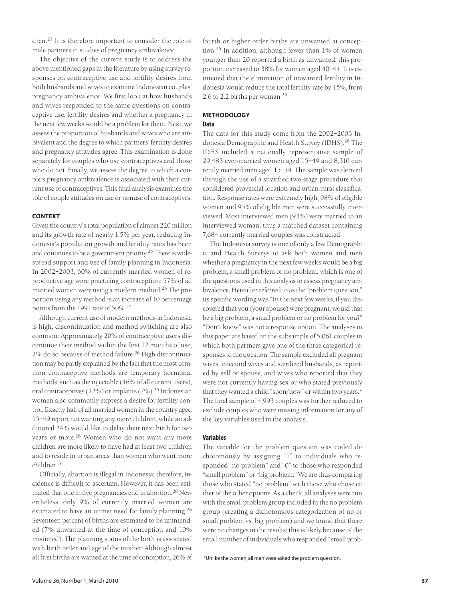dren.<sup>24</sup> It is therefore important to consider the role of male partners in studies of pregnancy ambivalence.

The objective of the current study is to address the above-mentioned gaps in the literature by using survey responses on contraceptive use and fertility desires from both husbands and wives to examine Indonesian couples' pregnancy ambivalence. We first look at how husbands and wives responded to the same questions on contraceptive use, fertility desires and whether a pregnancy in the next few weeks would be a problem for them. Next, we assess the proportion of husbands and wives who are ambivalent and the degree to which partners' fertility desires and pregnancy attitudes agree. This examination is done separately for couples who use contraceptives and those who do not. Finally, we assess the degree to which a couple's pregnancy ambivalence is associated with their current use of contraceptives. This final analysis examines the role of couple attitudes on use or nonuse of contraceptives.

# **CONTEXT**

Given the country's total population of almost 220 million and its growth rate of nearly 1.5% per year, reducing Indonesia's population growth and fertility rates has been and continues to be a government priority.25 There is widespread support and use of family planning in Indonesia: In 2002–2003, 60% of currently married women of reproductive age were practicing contraception; 57% of all married women were using a modern method.26 The proportion using any method is an increase of 10 percentage points from the 1991 rate of 50%.<sup>27</sup>

Although current use of modern methods in Indonesia is high, discontinuation and method switching are also common: Approximately 20% of contraceptive users discontinue their method within the first 12 months of use; 2% do so because of method failure.<sup>26</sup> High discontinuation may be partly explained by the fact that the most common contraceptive methods are temporary hormonal methods, such as the injectable (46% of all current users), oral contraceptives (22%) or implants (7%).26 Indonesian women also commonly express a desire for fertility control. Exactly half of all married women in the country aged 15–49 report not wanting any more children, while an additional 24% would like to delay their next birth for two years or more.<sup>26</sup> Women who do not want any more children are more likely to have had at least two children and to reside in urban areas than women who want more children.<sup>26</sup>

Officially, abortion is illegal in Indonesia; therefore, incidence is difficult to ascertain. However, it has been estimated that one in five pregnancies end in abortion.28 Nevertheless, only 9% of currently married women are estimated to have an unmet need for family planning.<sup>26</sup> Seventeen percent of births are estimated to be unintended (7% unwanted at the time of conception and 10% mistimed). The planning status of the birth is associated with birth order and age of the mother: Although almost all first births are wanted at the time of conception,  $26\%$  of  $*$ Unlike the women, all men were asked the problem question.

fourth or higher order births are unwanted at conception.<sup>26</sup> In addition, although fewer than 1% of women younger than 20 reported a birth as unwanted, this proportion increased to 38% for women aged 40–44. It is estimated that the elimination of unwanted fertility in Indonesia would reduce the total fertility rate by 15%, from 2.6 to 2.2 births per woman.<sup>26</sup>

# **METHODOLOGY Data**

The data for this study come from the 2002–2003 Indonesia Demographic and Health Survey (IDHS).<sup>26</sup> The IDHS included a nationally representative sample of 29,483 ever-married women aged 15–49 and 8,310 currently married men aged 15–54. The sample was derived through the use of a stratified two-stage procedure that considered provincial location and urban-rural classification. Response rates were extremely high; 98% of eligible women and 95% of eligible men were successfully interviewed. Most interviewed men (93%) were married to an interviewed woman, thus a matched dataset containing 7,684 currently married couples was constructed.

The Indonesia survey is one of only a few Demographic and Health Surveys to ask both women and men whether a pregnancy in the next few weeks would be a big problem, a small problem or no problem, which is one of the questions used in this analysis to assess pregnancy ambivalence. Hereafter referred to as the "problem question," its specific wording was "In the next few weeks, if you discovered that you (your spouse) were pregnant, would that be a big problem, a small problem or no problem for you?" "Don't know" was not a response option. The analyses in this paper are based on the subsample of 5,061 couples in which both partners gave one of the three categorical responses to the question. The sample excluded all pregnant wives, infecund wives and sterilized husbands, as reported by self or spouse, and wives who reported that they were not currently having sex or who stated previously that they wanted a child "soon/now" or within two years.\* The final sample of 4,993 couples was further reduced to exclude couples who were missing information for any of the key variables used in the analysis.

# **Variables**

The variable for the problem question was coded dichotomously by assigning "1" to individuals who responded "no problem" and "0" to those who responded "small problem" or "big problem." We are thus comparing those who stated "no problem" with those who chose either of the other options. As a check, all analyses were run with the small problem group included in the no problem group (creating a dichotomous categorization of no or small problem vs. big problem) and we found that there were no changes in the results; this is likely because of the small number of individuals who responded "small prob-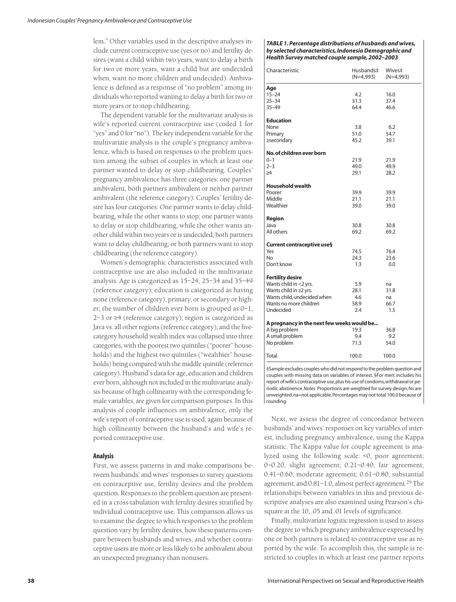lem." Other variables used in the descriptive analyses include current contraceptive use (yes or no) and fertility desires (want a child within two years, want to delay a birth for two or more years, want a child but are undecided when, want no more children and undecided). Ambivalence is defined as a response of "no problem" among individuals who reported wanting to delay a birth for two or more years or to stop childbearing.

The dependent variable for the multivariate analysis is wife's reported current contraceptive use (coded 1 for "yes" and 0 for "no"). The key independent variable for the multivariate analysis is the couple's pregnancy ambivalence, which is based on responses to the problem question among the subset of couples in which at least one partner wanted to delay or stop childbearing. Couples' pregnancy ambivalence has three categories: one partner ambivalent, both partners ambivalent or neither partner ambivalent (the reference category). Couples' fertility desire has four categories: One partner wants to delay childbearing, while the other wants to stop; one partner wants to delay or stop childbearing, while the other wants another child within two years or is undecided; both partners want to delay childbearing; or both partners want to stop childbearing (the reference category).

Women's demographic characteristics associated with contraceptive use are also included in the multivariate analysis. Age is categorized as 15–24, 25–34 and 35–49 (reference category); education is categorized as having none (reference category), primary, or secondary or higher; the number of children ever born is grouped as 0–1, 2–3 or ≥4 (reference category); region is categorized as Java vs. all other regions (reference category); and the fivecategory household wealth index was collapsed into three categories, with the poorest two quintiles ("poorer" households) and the highest two quintiles ("wealthier" households) being compared with the middle quintile (reference category). Husband's data for age, education and children ever born, although not included in the multivariate analysis because of high collinearity with the corresponding female variables, are given for comparison purposes. In this analysis of couple influences on ambivalence, only the wife's report of contraceptive use is used, again because of high collinearity between the husband's and wife's reported contraceptive use.

# **Analysis**

First, we assess patterns in and make comparisons between husbands' and wives' responses to survey questions on contraceptive use, fertility desires and the problem question. Responses to the problem question are presented in a cross-tabulation with fertility desires stratified by individual contraceptive use. This comparison allows us to examine the degree to which responses to the problem question vary by fertility desires, how these patterns compare between husbands and wives, and whether contraceptive users are more or less likely to be ambivalent about an unexpected pregnancy than nonusers.

### *TABLE 1. Percentage distributions of husbands and wives, by selected characteristics, Indonesia Demographic and Health Survey matched couple sample, 2002–2003*

| Characteristic                                                           | Husbands‡<br>(N=4,993) | Wives#<br>$(N=4,993)$ |  |
|--------------------------------------------------------------------------|------------------------|-----------------------|--|
| Age                                                                      |                        |                       |  |
| $15 - 24$                                                                | 4.2                    | 16.0                  |  |
| $25 - 34$                                                                | 31.3                   | 37.4                  |  |
| $35 - 49$                                                                | 64.4                   | 46.6                  |  |
| <b>Education</b>                                                         |                        |                       |  |
| None                                                                     | 3.8                    | 6.2                   |  |
| Primary                                                                  | 51.0                   | 54.7                  |  |
| ≥secondary                                                               | 45.2                   | 39.1                  |  |
| No. of children ever born                                                |                        |                       |  |
| $0 - 1$                                                                  | 21.9                   | 21.9                  |  |
| $2 - 3$                                                                  | 49.0                   | 49.9                  |  |
| >4                                                                       | 29.1                   | 28.2                  |  |
|                                                                          |                        |                       |  |
| <b>Household wealth</b>                                                  |                        |                       |  |
| Poorer                                                                   | 39.9                   | 39.9                  |  |
| Middle                                                                   | 21.1                   | 21.1                  |  |
| Wealthier                                                                | 39.0                   | 39.0                  |  |
| Region                                                                   |                        |                       |  |
| Java                                                                     | 30.8                   | 30.8                  |  |
| All others                                                               | 69.2                   | 69.2                  |  |
| Current contraceptive use§                                               |                        |                       |  |
| Yes                                                                      | 74.5                   | 76.4                  |  |
| N <sub>o</sub>                                                           | 24.3                   | 23.6                  |  |
| Don't know                                                               | 1.3                    | 0.0                   |  |
| <b>Fertility desire</b>                                                  |                        |                       |  |
| Wants child in <2 yrs.                                                   | 5.9                    | na                    |  |
| Wants child in ≥2 yrs.                                                   | 28.1                   | 31.8                  |  |
| Wants child, undecided when                                              | 4.6                    | na                    |  |
| Wants no more children                                                   | 58.9                   | 66.7                  |  |
| Undecided                                                                | 2.4                    | 1.5                   |  |
| A pregnancy in the next few weeks would be                               |                        |                       |  |
| A big problem                                                            | 19.3                   | 36.8                  |  |
| A small problem                                                          | 9.4                    | 9.2                   |  |
| No problem                                                               | 71.3                   | 54.0                  |  |
| Total                                                                    | 100.0                  | 100.0                 |  |
|                                                                          |                        |                       |  |
| #Sample excludes couples who did not respond to the problem question and |                        |                       |  |

couples with missing data on variables of interest. §For men: includes his report of wife's contraceptive use,plus his use of condoms,withdrawal or periodic abstinence.*Notes:* Proportions are weighted for survey design; Ns are unweighted.na=not applicable.Percentages may not total 100.0 because of rounding.

Next, we assess the degree of concordance between husbands' and wives' responses on key variables of interest, including pregnancy ambivalence, using the Kappa statistic. The Kappa value for couple agreement is analyzed using the following scale: <0, poor agreement; 0–0.20, slight agreement; 0.21–0.40, fair agreement; 0.41–0.60, moderate agreement; 0.61–0.80, substantial agreement; and 0.81-1.0, almost perfect agreement.<sup>29</sup> The relationships between variables in this and previous descriptive analyses are also examined using Pearson's chisquare at the 10, .05 and .01 levels of significance.

Finally, multivariate logistic regression is used to assess the degree to which pregnancy ambivalence expressed by one or both partners is related to contraceptive use as reported by the wife. To accomplish this, the sample is restricted to couples in which at least one partner reports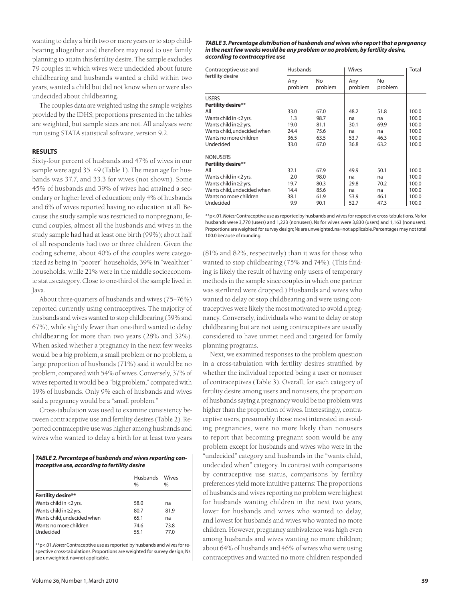wanting to delay a birth two or more years or to stop childbearing altogether and therefore may need to use family planning to attain this fertility desire. The sample excludes 79 couples in which wives were undecided about future childbearing and husbands wanted a child within two years, wanted a child but did not know when or were also undecided about childbearing.

The couples data are weighted using the sample weights provided by the IDHS; proportions presented in the tables are weighted, but sample sizes are not. All analyses were run using STATA statistical software, version 9.2.

# **RESULTS**

Sixty-four percent of husbands and 47% of wives in our sample were aged 35-49 (Table 1). The mean age for husbands was 37.7, and 33.3 for wives (not shown). Some 45% of husbands and 39% of wives had attained a secondary or higher level of education; only 4% of husbands and 6% of wives reported having no education at all. Because the study sample was restricted to nonpregnant, fecund couples, almost all the husbands and wives in the study sample had had at least one birth (99%); about half of all respondents had two or three children. Given the coding scheme, about 40% of the couples were categorized as being in "poorer" households, 39% in "wealthier" households, while 21% were in the middle socioeconomic status category. Close to one-third of the sample lived in Java.

About three-quarters of husbands and wives (75–76%) reported currently using contraceptives. The majority of husbands and wives wanted to stop childbearing (59% and 67%), while slightly fewer than one-third wanted to delay childbearing for more than two years (28% and 32%). When asked whether a pregnancy in the next few weeks would be a big problem, a small problem or no problem, a large proportion of husbands (71%) said it would be no problem, compared with 54% of wives. Conversely, 37% of wives reported it would be a "big problem," compared with 19% of husbands. Only 9% each of husbands and wives said a pregnancy would be a "small problem."

Cross-tabulation was used to examine consistency between contraceptive use and fertility desires (Table 2). Reported contraceptive use was higher among husbands and wives who wanted to delay a birth for at least two years

| TABLE 2. Percentage of husbands and wives reporting con- |
|----------------------------------------------------------|
| traceptive use, according to fertility desire            |

|                                     | Husbands<br>$\frac{0}{0}$ | Wives<br>$\frac{0}{0}$ |
|-------------------------------------|---------------------------|------------------------|
| <b>Fertility desire**</b>           |                           |                        |
| Wants child in $<$ 2 yrs.           | 58.0                      | na                     |
| Wants child in $\geq$ yrs.          | 80.7                      | 81.9                   |
| Wants child, undecided when         | 65.1                      | na                     |
| Wants no more children<br>Undecided | 74.6<br>55.1              | 73.8<br>77.0           |
|                                     |                           |                        |

\*\*p<.01.*Notes:* Contraceptive use as reported by husbands and wives for respective cross-tabulations. Proportions are weighted for survey design; Ns are unweighted. na=not applicable.

#### *TABLE 3. Percentage distribution of husbands and wives who report that a pregnancy in the next few weeks would be any problem or no problem, by fertility desire, according to contraceptive use*

| Contraceptive use and       | Husbands       |               | Wives          |               | Total |
|-----------------------------|----------------|---------------|----------------|---------------|-------|
| fertility desire            | Any<br>problem | No<br>problem | Any<br>problem | No<br>problem |       |
| <b>USERS</b>                |                |               |                |               |       |
| <b>Fertility desire**</b>   |                |               |                |               |       |
| All                         | 33.0           | 67.0          | 48.2           | 51.8          | 100.0 |
| Wants child in <2 yrs.      | 1.3            | 98.7          | na             | na            | 100.0 |
| Wants child in $\geq$ yrs.  | 19.0           | 81.1          | 30.1           | 69.9          | 100.0 |
| Wants child, undecided when | 24.4           | 75.6          | na             | na            | 100.0 |
| Wants no more children      | 36.5           | 63.5          | 53.7           | 46.3          | 100.0 |
| Undecided                   | 33.0           | 67.0          | 36.8           | 63.2          | 100.0 |
| <b>NONUSERS</b>             |                |               |                |               |       |
| <b>Fertility desire**</b>   |                |               |                |               |       |
| All                         | 32.1           | 67.9          | 49.9           | 50.1          | 100.0 |
| Wants child in <2 yrs.      | 2.0            | 98.0          | na             | na            | 100.0 |
| Wants child in $\geq$ yrs.  | 19.7           | 80.3          | 29.8           | 70.2          | 100.0 |
| Wants child, undecided when | 14.4           | 85.6          | na             | na            | 100.0 |
| Wants no more children      | 38.1           | 61.9          | 53.9           | 46.1          | 100.0 |
| Undecided                   | 9.9            | 90.1          | 52.7           | 47.3          | 100.0 |

\*\*p<.01.*Notes:* Contraceptive use as reported by husbands and wives for respective cross-tabulations.Ns for husbands were 3,770 (users) and 1,223 (nonusers). Ns for wives were 3,830 (users) and 1,163 (nonusers). Proportions are weighted for survey design;Ns are unweighted.na=not applicable.Percentages may not total 100.0 because of rounding.

(81% and 82%, respectively) than it was for those who wanted to stop childbearing (75% and 74%). (This finding is likely the result of having only users of temporary methods in the sample since couples in which one partner was sterilized were dropped.) Husbands and wives who wanted to delay or stop childbearing and were using contraceptives were likely the most motivated to avoid a pregnancy. Conversely, individuals who want to delay or stop childbearing but are not using contraceptives are usually considered to have unmet need and targeted for family planning programs.

Next, we examined responses to the problem question in a cross-tabulation with fertility desires stratified by whether the individual reported being a user or nonuser of contraceptives (Table 3). Overall, for each category of fertility desire among users and nonusers, the proportion of husbands saying a pregnancy would be no problem was higher than the proportion of wives. Interestingly, contraceptive users, presumably those most interested in avoiding pregnancies, were no more likely than nonusers to report that becoming pregnant soon would be any problem except for husbands and wives who were in the "undecided" category and husbands in the "wants child, undecided when" category. In contrast with comparisons by contraceptive use status, comparisons by fertility preferences yield more intuitive patterns: The proportions of husbands and wives reporting no problem were highest for husbands wanting children in the next two years, lower for husbands and wives who wanted to delay, and lowest for husbands and wives who wanted no more children. However, pregnancy ambivalence was high even among husbands and wives wanting no more children; about 64% of husbands and 46% of wives who were using contraceptives and wanted no more children responded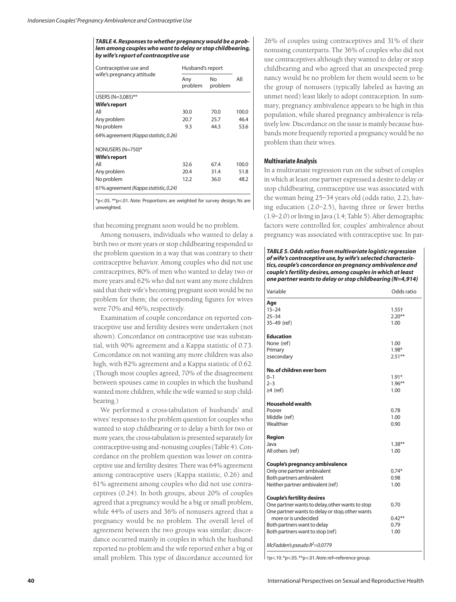*TABLE 4. Responses to whether pregnancy would be a problem among couples who want to delay or stop childbearing, by wife's report of contraceptive use*

| Contraceptive use and<br>wife's pregnancy attitude | Husband's report |                           |       |
|----------------------------------------------------|------------------|---------------------------|-------|
|                                                    | Any<br>problem   | N <sub>o</sub><br>problem | All   |
| USERS (N=3,085)**                                  |                  |                           |       |
| Wife's report                                      |                  |                           |       |
| All                                                | 30.0             | 70.0                      | 100.0 |
| Any problem                                        | 20.7             | 25.7                      | 46.4  |
| No problem                                         | 9.3              | 44.3                      | 53.6  |
| 64% agreement (Kappa statistic, 0.26)              |                  |                           |       |
| NONUSERS (N=750)*                                  |                  |                           |       |
| <b>Wife's report</b>                               |                  |                           |       |
| All                                                | 32.6             | 67.4                      | 100.0 |
| Any problem                                        | 20.4             | 31.4                      | 51.8  |
| No problem                                         | 12.2             | 36.0                      | 48.2  |
| 61% agreement (Kappa statistic, 0.24)              |                  |                           |       |

\*p<.05. \*\*p<.01. *Note:* Proportions are weighted for survey design; Ns are unweighted.

that becoming pregnant soon would be no problem.

Among nonusers, individuals who wanted to delay a birth two or more years or stop childbearing responded to the problem question in a way that was contrary to their contraceptive behavior. Among couples who did not use contraceptives, 80% of men who wanted to delay two or more years and 62% who did not want any more children said that their wife's becoming pregnant soon would be no problem for them; the corresponding figures for wives were 70% and 46%, respectively.

Examination of couple concordance on reported contraceptive use and fertility desires were undertaken (not shown). Concordance on contraceptive use was substantial, with 90% agreement and a Kappa statistic of 0.73. Concordance on not wanting any more children was also high, with 82% agreement and a Kappa statistic of 0.62. (Though most couples agreed, 70% of the disagreement between spouses came in couples in which the husband wanted more children, while the wife wanted to stop childbearing.)

We performed a cross-tabulation of husbands' and wives' responses to the problem question for couples who wanted to stop childbearing or to delay a birth for two or more years; the cross-tabulation is presented separately for contraceptive-using and -nonusing couples (Table 4). Concordance on the problem question was lower on contraceptive use and fertility desires: There was 64% agreement among contraceptive users (Kappa statistic, 0.26) and 61% agreement among couples who did not use contraceptives (0.24). In both groups, about 20% of couples agreed that a pregnancy would be a big or small problem, while 44% of users and 36% of nonusers agreed that a pregnancy would be no problem. The overall level of agreement between the two groups was similar; discordance occurred mainly in couples in which the husband reported no problem and the wife reported either a big or small problem. This type of discordance accounted for

26% of couples using contraceptives and 31% of their nonusing counterparts. The 36% of couples who did not use contraceptives although they wanted to delay or stop childbearing and who agreed that an unexpected pregnancy would be no problem for them would seem to be the group of nonusers (typically labeled as having an unmet need) least likely to adopt contraception. In summary, pregnancy ambivalence appears to be high in this population, while shared pregnancy ambivalence is relatively low. Discordance on the issue is mainly because husbands more frequently reported a pregnancy would be no problem than their wives.

# **Multivariate Analysis**

In a multivariate regression run on the subset of couples in which at least one partner expressed a desire to delay or stop childbearing, contraceptive use was associated with the woman being 25–34 years old (odds ratio, 2.2), having education (2.0–2.5), having three or fewer births (1.9–2.0) or living in Java (1.4; Table 5). After demographic factors were controlled for, couples' ambivalence about pregnancy was associated with contraceptive use. In par-

### *TABLE 5. Odds ratios from multivariate logistic regression of wife's contraceptive use, by wife's selected characteristics, couple's concordance on pregnancy ambivalence and couple's fertility desires, among couples in which at least one partner wants to delay or stop childbearing (N=4,914)*

| Variable                                        | Odds ratio |
|-------------------------------------------------|------------|
| Age                                             |            |
| $15 - 24$                                       | $1.55+$    |
| $25 - 34$                                       | $2.20***$  |
| 35-49 (ref)                                     | 1.00       |
| <b>Education</b>                                |            |
| None (ref)                                      | 1.00       |
| Primary                                         | $1.98*$    |
| ≥secondary                                      | $2.51***$  |
| No. of children ever born                       |            |
| $0 - 1$                                         | $1.91*$    |
| $2 - 3$                                         | $1.96***$  |
| $\geq 4$ (ref)                                  | 1.00       |
| <b>Household wealth</b>                         |            |
| Poorer                                          | 0.78       |
| Middle (ref)                                    | 1.00       |
| Wealthier                                       | 0.90       |
| Region                                          |            |
| Java                                            | $1.38***$  |
| All others (ref)                                | 1.00       |
| Couple's pregnancy ambivalence                  |            |
| Only one partner ambivalent                     | $0.74*$    |
| Both partners ambivalent                        | 0.98       |
| Neither partner ambivalent (ref)                | 1.00       |
| <b>Couple's fertility desires</b>               |            |
| One partner wants to delay, other wants to stop | 0.70       |
| One partner wants to delay or stop, other wants |            |
| more or is undecided                            | $0.42***$  |
| Both partners want to delay                     | 0.79       |
| Both partners want to stop (ref)                | 1.00       |
| McFadden's pseudo $R^2$ =0.0779                 |            |

†p<.10. \*p<.05. \*\*p<.01.*Note*: ref=reference group.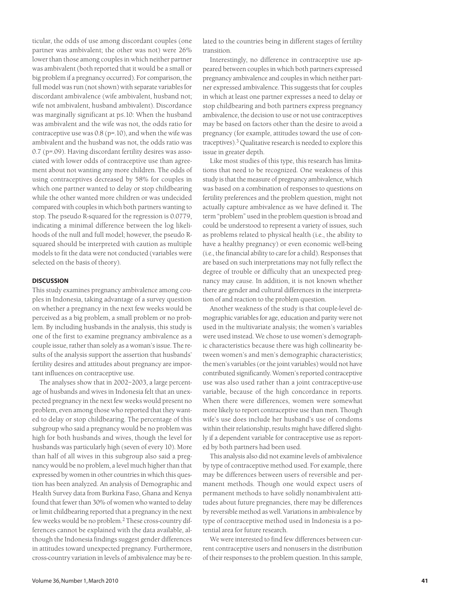ticular, the odds of use among discordant couples (one partner was ambivalent; the other was not) were 26% lower than those among couples in which neither partner was ambivalent (both reported that it would be a small or big problem if a pregnancy occurred). For comparison, the full model was run (not shown) with separate variables for discordant ambivalence (wife ambivalent, husband not; wife not ambivalent, husband ambivalent). Discordance was marginally significant at p≤.10: When the husband was ambivalent and the wife was not, the odds ratio for contraceptive use was 0.8 (p=.10), and when the wife was ambivalent and the husband was not, the odds ratio was 0.7 (p=.09). Having discordant fertility desires was associated with lower odds of contraceptive use than agreement about not wanting any more children. The odds of using contraceptives decreased by 58% for couples in which one partner wanted to delay or stop childbearing while the other wanted more children or was undecided compared with couples in which both partners wanting to stop. The pseudo R-squared for the regression is 0.0779, indicating a minimal difference between the log likelihoods of the null and full model; however, the pseudo Rsquared should be interpreted with caution as multiple models to fit the data were not conducted (variables were selected on the basis of theory).

# **DISCUSSION**

This study examines pregnancy ambivalence among couples in Indonesia, taking advantage of a survey question on whether a pregnancy in the next few weeks would be perceived as a big problem, a small problem or no problem. By including husbands in the analysis, this study is one of the first to examine pregnancy ambivalence as a couple issue, rather than solely as a woman's issue. The results of the analysis support the assertion that husbands' fertility desires and attitudes about pregnancy are important influences on contraceptive use.

The analyses show that in 2002–2003, a large percentage of husbands and wives in Indonesia felt that an unexpected pregnancy in the next few weeks would present no problem, even among those who reported that they wanted to delay or stop childbearing. The percentage of this subgroup who said a pregnancy would be no problem was high for both husbands and wives, though the level for husbands was particularly high (seven of every 10). More than half of all wives in this subgroup also said a pregnancy would be no problem, a level much higher than that expressed by women in other countries in which this question has been analyzed. An analysis of Demographic and Health Survey data from Burkina Faso, Ghana and Kenya found that fewer than 30% of women who wanted to delay or limit childbearing reported that a pregnancy in the next few weeks would be no problem.2 These cross-country differences cannot be explained with the data available, although the Indonesia findings suggest gender differences in attitudes toward unexpected pregnancy. Furthermore, cross-country variation in levels of ambivalence may be related to the countries being in different stages of fertility transition.

Interestingly, no difference in contraceptive use appeared between couples in which both partners expressed pregnancy ambivalence and couples in which neither partner expressed ambivalence. This suggests that for couples in which at least one partner expresses a need to delay or stop childbearing and both partners express pregnancy ambivalence, the decision to use or not use contraceptives may be based on factors other than the desire to avoid a pregnancy (for example, attitudes toward the use of contraceptives).3 Qualitative research is needed to explore this issue in greater depth.

Like most studies of this type, this research has limitations that need to be recognized. One weakness of this study is that the measure of pregnancy ambivalence, which was based on a combination of responses to questions on fertility preferences and the problem question, might not actually capture ambivalence as we have defined it. The term "problem" used in the problem question is broad and could be understood to represent a variety of issues, such as problems related to physical health (i.e., the ability to have a healthy pregnancy) or even economic well-being (i.e., the financial ability to care for a child). Responses that are based on such interpretations may not fully reflect the degree of trouble or difficulty that an unexpected pregnancy may cause. In addition, it is not known whether there are gender and cultural differences in the interpretation of and reaction to the problem question.

Another weakness of the study is that couple-level demographic variables for age, education and parity were not used in the multivariate analysis; the women's variables were used instead. We chose to use women's demographic characteristics because there was high collinearity between women's and men's demographic characteristics; the men's variables (or the joint variables) would not have contributed significantly. Women's reported contraceptive use was also used rather than a joint contraceptive-use variable, because of the high concordance in reports. When there were differences, women were somewhat more likely to report contraceptive use than men. Though wife's use does include her husband's use of condoms within their relationship, results might have differed slightly if a dependent variable for contraceptive use as reported by both partners had been used.

This analysis also did not examine levels of ambivalence by type of contraceptive method used. For example, there may be differences between users of reversible and permanent methods. Though one would expect users of permanent methods to have solidly nonambivalent attitudes about future pregnancies, there may be differences by reversible method as well. Variations in ambivalence by type of contraceptive method used in Indonesia is a potential area for future research.

We were interested to find few differences between current contraceptive users and nonusers in the distribution of their responses to the problem question. In this sample,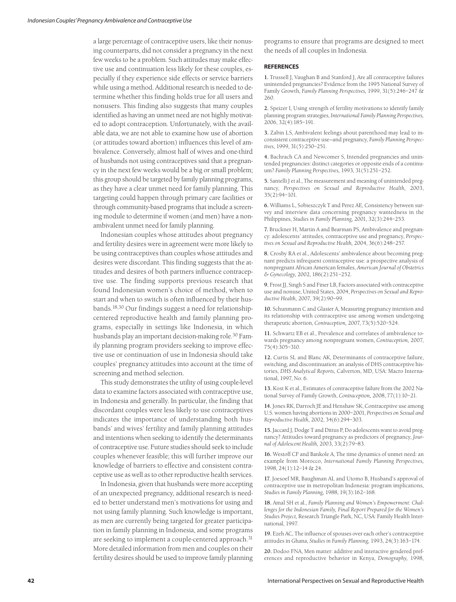a large percentage of contraceptive users, like their nonusing counterparts, did not consider a pregnancy in the next few weeks to be a problem. Such attitudes may make effective use and continuation less likely for these couples, especially if they experience side effects or service barriers while using a method. Additional research is needed to determine whether this finding holds true for all users and nonusers. This finding also suggests that many couples identified as having an unmet need are not highly motivated to adopt contraception. Unfortunately, with the available data, we are not able to examine how use of abortion (or attitudes toward abortion) influences this level of ambivalence. Conversely, almost half of wives and one-third of husbands not using contraceptives said that a pregnancy in the next few weeks would be a big or small problem; this group should be targeted by family planning programs, as they have a clear unmet need for family planning. This targeting could happen through primary care facilities or through community-based programs that include a screening module to determine if women (and men) have a nonambivalent unmet need for family planning.

Indonesian couples whose attitudes about pregnancy and fertility desires were in agreement were more likely to be using contraceptives than couples whose attitudes and desires were discordant. This finding suggests that the attitudes and desires of both partners influence contraceptive use. The finding supports previous research that found Indonesian women's choice of method, when to start and when to switch is often influenced by their husbands.18,30 Our findings suggest a need for relationshipcentered reproductive health and family planning programs, especially in settings like Indonesia, in which husbands play an important decision-making role.<sup>30</sup> Family planning program providers seeking to improve effective use or continuation of use in Indonesia should take couples' pregnancy attitudes into account at the time of screening and method selection.

This study demonstrates the utility of using couple-level data to examine factors associated with contraceptive use, in Indonesia and generally. In particular, the finding that discordant couples were less likely to use contraceptives indicates the importance of understanding both husbands' and wives' fertility and family planning attitudes and intentions when seeking to identify the determinants of contraceptive use. Future studies should seek to include couples whenever feasible; this will further improve our knowledge of barriers to effective and consistent contraceptive use as well as to other reproductive health services.

In Indonesia, given that husbands were more accepting of an unexpected pregnancy, additional research is needed to better understand men's motivations for using and not using family planning. Such knowledge is important, as men are currently being targeted for greater participation in family planning in Indonesia, and some programs are seeking to implement a couple-centered approach.<sup>31</sup> More detailed information from men and couples on their fertility desires should be used to improve family planning programs to ensure that programs are designed to meet the needs of all couples in Indonesia.

## **REFERENCES**

**1.** Trussell J, Vaughan B and Stanford J, Are all contraceptive failures unintended pregnancies? Evidence from the 1995 National Survey of Family Growth, *Family Planning Perspectives,* 1999, 31(5):246–247 & 260.

**2.** Speizer I, Using strength of fertility motivations to identify family planning program strategies, *International Family Planning Perspectives,* 2006, 32(4):185–191.

**3.** Zabin LS, Ambivalent feelings about parenthood may lead to inconsistent contraceptive use—and pregnancy, *Family Planning Perspectives,* 1999, 31(5):250–251.

**4.** Bachrach CA and Newcomer S, Intended pregnancies and unintended pregnancies: distinct categories or opposite ends of a continuum? *Family Planning Perspectives,* 1993, 31(5):251–252.

**5.** Santelli J et al., The measurement and meaning of unintended pregnancy, *Perspectives on Sexual and Reproductive Health,* 2003, 35(2):94–101.

**6.** Williams L, Sobieszczyk T and Perez AE, Consistency between survey and interview data concerning pregnancy wantedness in the Philippines, *Studies in Family Planning,* 2001, 32(3):244–253.

**7.** Bruckner H, Martin A and Bearman PS, Ambivalence and pregnancy: adolescents' attitudes, contraceptive use and pregnancy, *Perspectives on Sexual and Reproductive Health,* 2004, 36(6):248–257.

**8.** Crosby RA et al., Adolescents' ambivalence about becoming pregnant predicts infrequent contraceptive use: a prospective analysis of nonpregnant African American females, *American Journal of Obstetrics & Gynecology,* 2002, 186(2):251–252.

**9.** Frost JJ, Singh S and Finer LB, Factors associated with contraceptive use and nonuse, United States, 2004, *Perspectives on Sexual and Reproductive Health,* 2007, 39(2):90–99.

**10.** Schunmann C and Glasier A, Measuring pregnancy intention and its relationship with contraceptive use among women undergoing therapeutic abortion, *Contraception,* 2007, 73(5):520–524.

**11.** Schwartz EB et al., Prevalence and correlates of ambivalence towards pregnancy among nonpregnant women, *Contraception,* 2007, 75(4):305–310.

**12.** Curtis SL and Blanc AK, Determinants of contraceptive failure, switching, and discontinuation: an analysis of DHS contraceptive histories, *DHS Analytical Reports,* Calverton, MD, USA: Macro International, 1997, No. 6.

**13.** Kost K et al., Estimates of contraceptive failure from the 2002 National Survey of Family Growth, *Contraception,* 2008, 77(1):10–21.

**14.** Jones RK, Darroch JE and Henshaw SK, Contraceptive use among U.S. women having abortions in 2000–2001, *Perspectives on Sexual and Reproductive Health,* 2002, 34(6):294–303.

**15.** Jaccard J, Dodge T and Dittus P, Do adolescents want to avoid pregnancy? Attitudes toward pregnancy as predictors of pregnancy, *Journal of Adolescent Health,* 2003, 33(2):79–83.

**16.** Westoff CF and Bankole A, The time dynamics of unmet need: an example from Morocco, *International Family Planning Perspectives,* 1998, 24(1):12–14 & 24.

**17.** Joesoef MR, Baughman AL and Utomo B, Husband's approval of contraceptive use in metropolitan Indonesia: program implications, *Studies in Family Planning,* 1988, 19(3):162–168.

**18.** Amal SH et al., *Family Planning and Women's Empowerment: Challenges for the Indonesian Family, Final Report Prepared for the Women's Studies Project,* Research Triangle Park, NC, USA: Family Health International, 1997.

**19.** Ezeh AC, The influence of spouses over each other's contraceptive attitudes in Ghana, *Studies in Family Planning,* 1993, 24(3):163–174.

**20.** Dodoo FNA, Men matter: additive and interactive gendered preferences and reproductive behavior in Kenya, *Demography,* 1998,